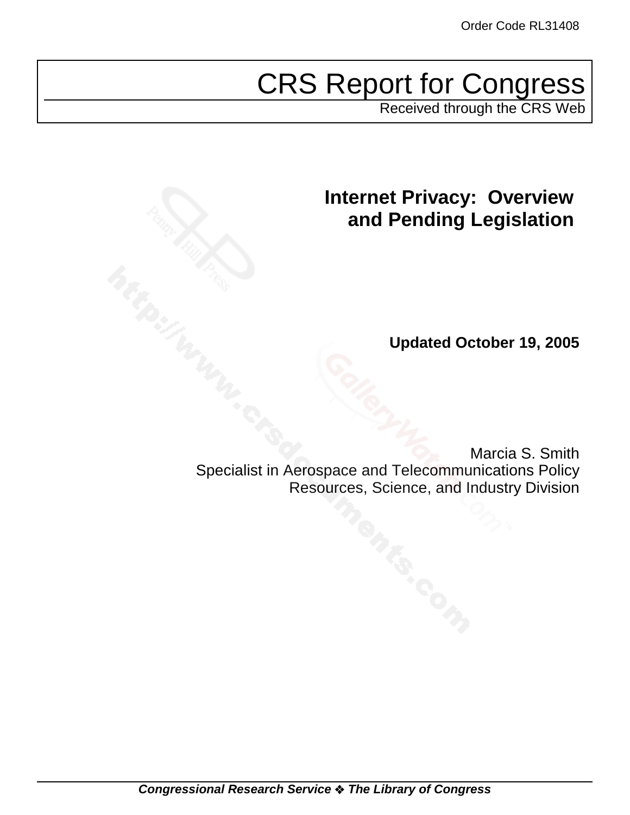# CRS Report for Congress

Received through the CRS Web

# **Internet Privacy: Overview and Pending Legislation**

**Updated October 19, 2005**

Marcia S. Smith Specialist in Aerospace and Telecommunications Policy Resources, Science, and Industry Division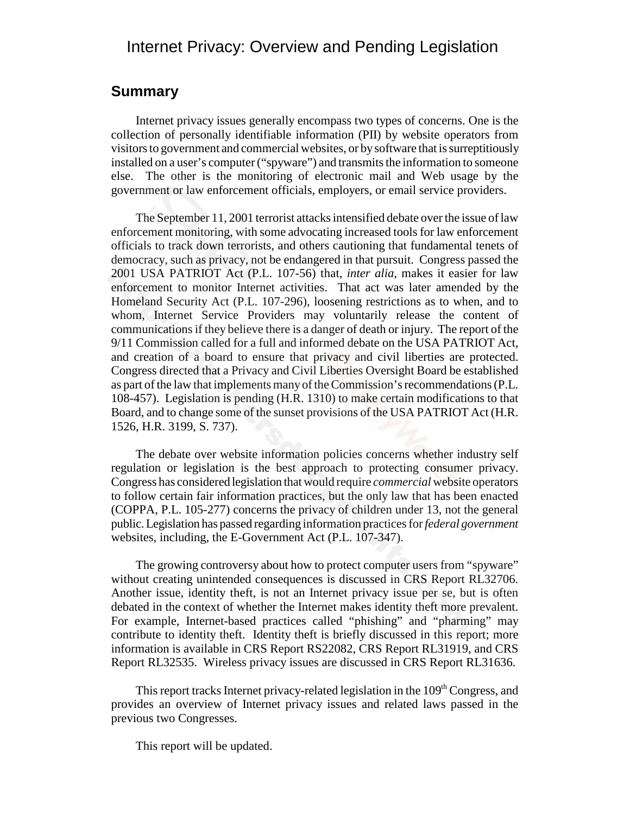# Internet Privacy: Overview and Pending Legislation

#### **Summary**

Internet privacy issues generally encompass two types of concerns. One is the collection of personally identifiable information (PII) by website operators from visitors to government and commercial websites, or by software that is surreptitiously installed on a user's computer ("spyware") and transmits the information to someone else. The other is the monitoring of electronic mail and Web usage by the government or law enforcement officials, employers, or email service providers.

The September 11, 2001 terrorist attacks intensified debate over the issue of law enforcement monitoring, with some advocating increased tools for law enforcement officials to track down terrorists, and others cautioning that fundamental tenets of democracy, such as privacy, not be endangered in that pursuit. Congress passed the 2001 USA PATRIOT Act (P.L. 107-56) that, *inter alia*, makes it easier for law enforcement to monitor Internet activities. That act was later amended by the Homeland Security Act (P.L. 107-296), loosening restrictions as to when, and to whom, Internet Service Providers may voluntarily release the content of communications if they believe there is a danger of death or injury. The report of the 9/11 Commission called for a full and informed debate on the USA PATRIOT Act, and creation of a board to ensure that privacy and civil liberties are protected. Congress directed that a Privacy and Civil Liberties Oversight Board be established as part of the law that implements many of the Commission's recommendations (P.L. 108-457). Legislation is pending (H.R. 1310) to make certain modifications to that Board, and to change some of the sunset provisions of the USA PATRIOT Act (H.R. 1526, H.R. 3199, S. 737).

The debate over website information policies concerns whether industry self regulation or legislation is the best approach to protecting consumer privacy. Congress has considered legislation that would require *commercial* website operators to follow certain fair information practices, but the only law that has been enacted (COPPA, P.L. 105-277) concerns the privacy of children under 13, not the general public. Legislation has passed regarding information practices for *federal government* websites, including, the E-Government Act (P.L. 107-347).

The growing controversy about how to protect computer users from "spyware" without creating unintended consequences is discussed in CRS Report RL32706. Another issue, identity theft, is not an Internet privacy issue per se, but is often debated in the context of whether the Internet makes identity theft more prevalent. For example, Internet-based practices called "phishing" and "pharming" may contribute to identity theft. Identity theft is briefly discussed in this report; more information is available in CRS Report RS22082, CRS Report RL31919, and CRS Report RL32535. Wireless privacy issues are discussed in CRS Report RL31636.

This report tracks Internet privacy-related legislation in the 109<sup>th</sup> Congress, and provides an overview of Internet privacy issues and related laws passed in the previous two Congresses.

This report will be updated.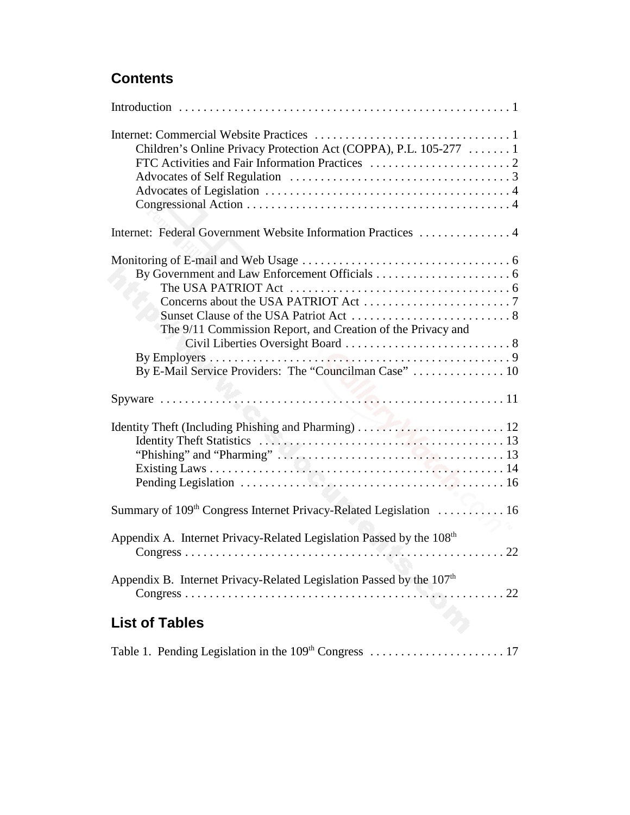# **Contents**

| Children's Online Privacy Protection Act (COPPA), P.L. 105-277  1                                                     |
|-----------------------------------------------------------------------------------------------------------------------|
| Internet: Federal Government Website Information Practices  4                                                         |
| The 9/11 Commission Report, and Creation of the Privacy and<br>By E-Mail Service Providers: The "Councilman Case"  10 |
|                                                                                                                       |
|                                                                                                                       |
| Summary of 109 <sup>th</sup> Congress Internet Privacy-Related Legislation  16                                        |
| Appendix A. Internet Privacy-Related Legislation Passed by the 108 <sup>th</sup><br>. 22                              |
| Appendix B. Internet Privacy-Related Legislation Passed by the 107 <sup>th</sup>                                      |
| <b>List of Tables</b>                                                                                                 |

|--|--|--|--|--|--|--|--|--|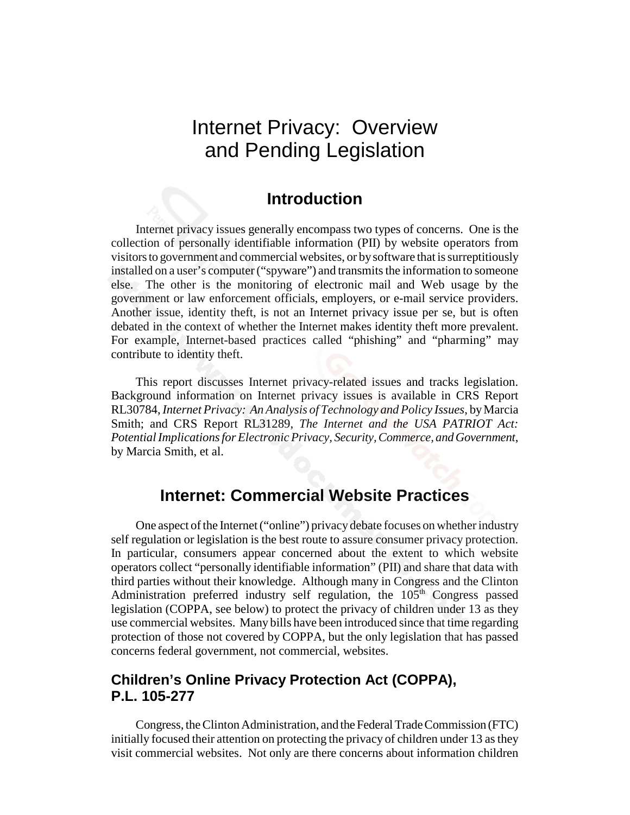# Internet Privacy: Overview and Pending Legislation

### **Introduction**

Internet privacy issues generally encompass two types of concerns. One is the collection of personally identifiable information (PII) by website operators from visitors to government and commercial websites, or by software that is surreptitiously installed on a user's computer ("spyware") and transmits the information to someone else. The other is the monitoring of electronic mail and Web usage by the government or law enforcement officials, employers, or e-mail service providers. Another issue, identity theft, is not an Internet privacy issue per se, but is often debated in the context of whether the Internet makes identity theft more prevalent. For example, Internet-based practices called "phishing" and "pharming" may contribute to identity theft.

This report discusses Internet privacy-related issues and tracks legislation. Background information on Internet privacy issues is available in CRS Report RL30784, *Internet Privacy: An Analysis of Technology and Policy Issues*, by Marcia Smith; and CRS Report RL31289, *The Internet and the USA PATRIOT Act: Potential Implications for Electronic Privacy, Security, Commerce, and Government*, by Marcia Smith, et al.

### **Internet: Commercial Website Practices**

One aspect of the Internet ("online") privacy debate focuses on whether industry self regulation or legislation is the best route to assure consumer privacy protection. In particular, consumers appear concerned about the extent to which website operators collect "personally identifiable information" (PII) and share that data with third parties without their knowledge. Although many in Congress and the Clinton Administration preferred industry self regulation, the  $105<sup>th</sup>$  Congress passed legislation (COPPA, see below) to protect the privacy of children under 13 as they use commercial websites. Many bills have been introduced since that time regarding protection of those not covered by COPPA, but the only legislation that has passed concerns federal government, not commercial, websites.

#### **Children's Online Privacy Protection Act (COPPA), P.L. 105-277**

Congress, the Clinton Administration, and the Federal Trade Commission (FTC) initially focused their attention on protecting the privacy of children under 13 as they visit commercial websites. Not only are there concerns about information children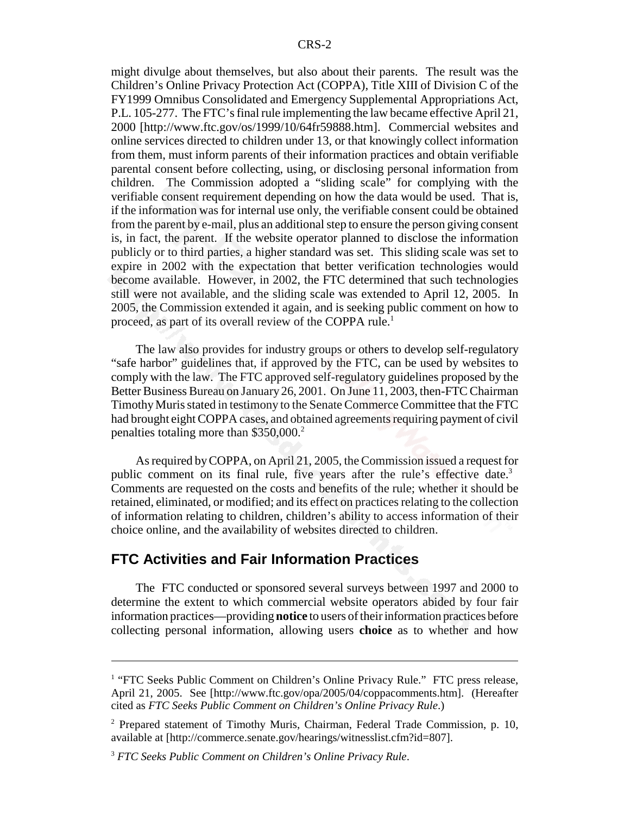might divulge about themselves, but also about their parents. The result was the Children's Online Privacy Protection Act (COPPA), Title XIII of Division C of the FY1999 Omnibus Consolidated and Emergency Supplemental Appropriations Act, P.L. 105-277. The FTC's final rule implementing the law became effective April 21, 2000 [http://www.ftc.gov/os/1999/10/64fr59888.htm]. Commercial websites and online services directed to children under 13, or that knowingly collect information from them, must inform parents of their information practices and obtain verifiable parental consent before collecting, using, or disclosing personal information from children. The Commission adopted a "sliding scale" for complying with the verifiable consent requirement depending on how the data would be used. That is, if the information was for internal use only, the verifiable consent could be obtained from the parent by e-mail, plus an additional step to ensure the person giving consent is, in fact, the parent. If the website operator planned to disclose the information publicly or to third parties, a higher standard was set. This sliding scale was set to expire in 2002 with the expectation that better verification technologies would become available. However, in 2002, the FTC determined that such technologies still were not available, and the sliding scale was extended to April 12, 2005. In 2005, the Commission extended it again, and is seeking public comment on how to proceed, as part of its overall review of the COPPA rule.<sup>1</sup>

The law also provides for industry groups or others to develop self-regulatory "safe harbor" guidelines that, if approved by the FTC, can be used by websites to comply with the law. The FTC approved self-regulatory guidelines proposed by the Better Business Bureau on January 26, 2001. On June 11, 2003, then-FTC Chairman Timothy Muris stated in testimony to the Senate Commerce Committee that the FTC had brought eight COPPA cases, and obtained agreements requiring payment of civil penalties totaling more than \$350,000.<sup>2</sup>

As required by COPPA, on April 21, 2005, the Commission issued a request for public comment on its final rule, five years after the rule's effective date.<sup>3</sup> Comments are requested on the costs and benefits of the rule; whether it should be retained, eliminated, or modified; and its effect on practices relating to the collection of information relating to children, children's ability to access information of their choice online, and the availability of websites directed to children.

#### **FTC Activities and Fair Information Practices**

The FTC conducted or sponsored several surveys between 1997 and 2000 to determine the extent to which commercial website operators abided by four fair information practices—providing **notice** to users of their information practices before collecting personal information, allowing users **choice** as to whether and how

<sup>&</sup>lt;sup>1</sup> "FTC Seeks Public Comment on Children's Online Privacy Rule." FTC press release, April 21, 2005. See [http://www.ftc.gov/opa/2005/04/coppacomments.htm]. (Hereafter cited as *FTC Seeks Public Comment on Children's Online Privacy Rule*.)

<sup>&</sup>lt;sup>2</sup> Prepared statement of Timothy Muris, Chairman, Federal Trade Commission, p. 10, available at [http://commerce.senate.gov/hearings/witnesslist.cfm?id=807].

<sup>3</sup> *FTC Seeks Public Comment on Children's Online Privacy Rule*.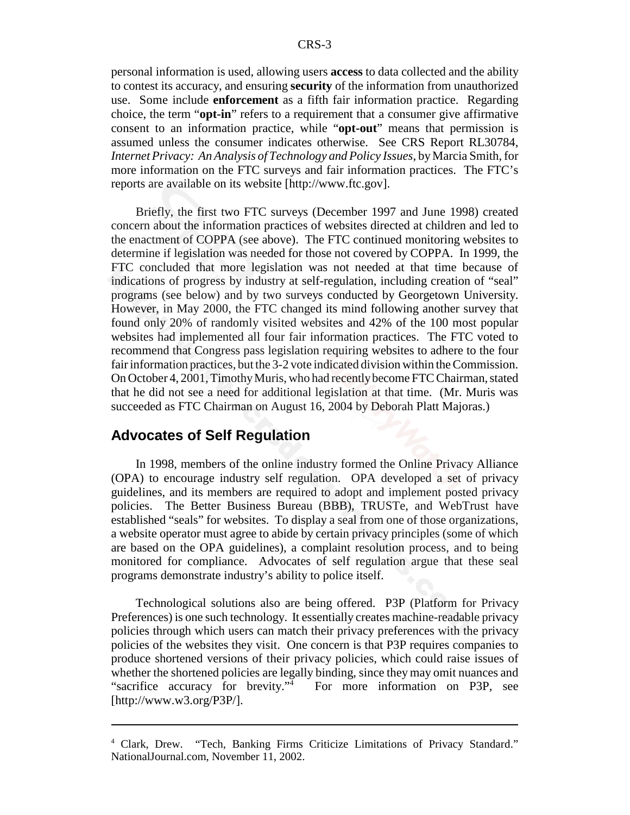personal information is used, allowing users **access** to data collected and the ability to contest its accuracy, and ensuring **security** of the information from unauthorized use. Some include **enforcement** as a fifth fair information practice. Regarding choice, the term "**opt-in**" refers to a requirement that a consumer give affirmative consent to an information practice, while "**opt-out**" means that permission is assumed unless the consumer indicates otherwise. See CRS Report RL30784, *Internet Privacy: An Analysis of Technology and Policy Issues*, by Marcia Smith, for more information on the FTC surveys and fair information practices. The FTC's reports are available on its website [http://www.ftc.gov].

Briefly, the first two FTC surveys (December 1997 and June 1998) created concern about the information practices of websites directed at children and led to the enactment of COPPA (see above). The FTC continued monitoring websites to determine if legislation was needed for those not covered by COPPA. In 1999, the FTC concluded that more legislation was not needed at that time because of indications of progress by industry at self-regulation, including creation of "seal" programs (see below) and by two surveys conducted by Georgetown University. However, in May 2000, the FTC changed its mind following another survey that found only 20% of randomly visited websites and 42% of the 100 most popular websites had implemented all four fair information practices. The FTC voted to recommend that Congress pass legislation requiring websites to adhere to the four fair information practices, but the 3-2 vote indicated division within the Commission. On October 4, 2001, Timothy Muris, who had recently become FTC Chairman, stated that he did not see a need for additional legislation at that time. (Mr. Muris was succeeded as FTC Chairman on August 16, 2004 by Deborah Platt Majoras.)

#### **Advocates of Self Regulation**

In 1998, members of the online industry formed the Online Privacy Alliance (OPA) to encourage industry self regulation. OPA developed a set of privacy guidelines, and its members are required to adopt and implement posted privacy policies. The Better Business Bureau (BBB), TRUSTe, and WebTrust have established "seals" for websites. To display a seal from one of those organizations, a website operator must agree to abide by certain privacy principles (some of which are based on the OPA guidelines), a complaint resolution process, and to being monitored for compliance. Advocates of self regulation argue that these seal programs demonstrate industry's ability to police itself.

Technological solutions also are being offered. P3P (Platform for Privacy Preferences) is one such technology. It essentially creates machine-readable privacy policies through which users can match their privacy preferences with the privacy policies of the websites they visit. One concern is that P3P requires companies to produce shortened versions of their privacy policies, which could raise issues of whether the shortened policies are legally binding, since they may omit nuances and "sacrifice accuracy for brevity."<sup>4</sup> For more information on P3P, see [http://www.w3.org/P3P/].

<sup>4</sup> Clark, Drew. "Tech, Banking Firms Criticize Limitations of Privacy Standard." NationalJournal.com, November 11, 2002.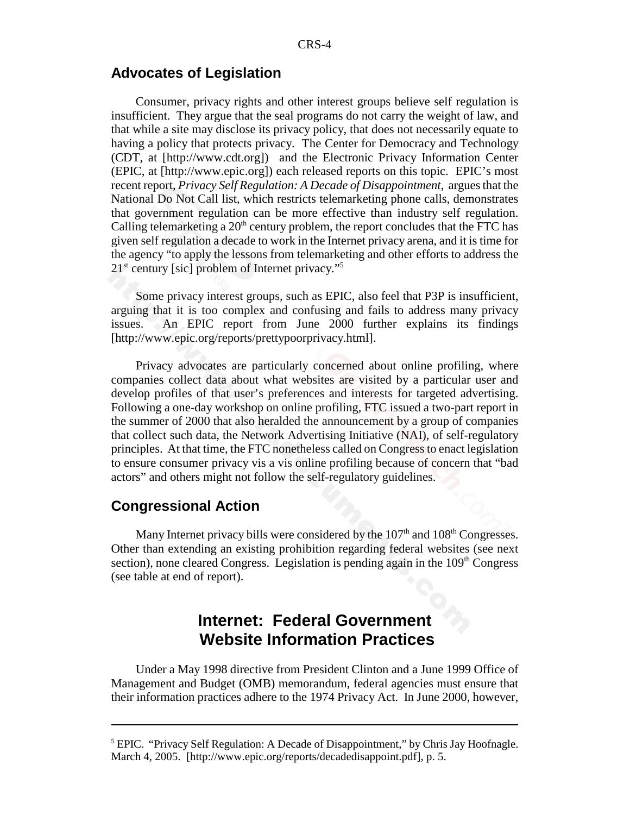#### **Advocates of Legislation**

Consumer, privacy rights and other interest groups believe self regulation is insufficient. They argue that the seal programs do not carry the weight of law, and that while a site may disclose its privacy policy, that does not necessarily equate to having a policy that protects privacy. The Center for Democracy and Technology (CDT, at [http://www.cdt.org]) and the Electronic Privacy Information Center (EPIC, at [http://www.epic.org]) each released reports on this topic. EPIC's most recent report, *Privacy Self Regulation: A Decade of Disappointment*, argues that the National Do Not Call list, which restricts telemarketing phone calls, demonstrates that government regulation can be more effective than industry self regulation. Calling telemarketing a  $20<sup>th</sup>$  century problem, the report concludes that the FTC has given self regulation a decade to work in the Internet privacy arena, and it is time for the agency "to apply the lessons from telemarketing and other efforts to address the  $21<sup>st</sup>$  century [sic] problem of Internet privacy."<sup>5</sup>

Some privacy interest groups, such as EPIC, also feel that P3P is insufficient, arguing that it is too complex and confusing and fails to address many privacy issues. An EPIC report from June 2000 further explains its findings [http://www.epic.org/reports/prettypoorprivacy.html].

Privacy advocates are particularly concerned about online profiling, where companies collect data about what websites are visited by a particular user and develop profiles of that user's preferences and interests for targeted advertising. Following a one-day workshop on online profiling, FTC issued a two-part report in the summer of 2000 that also heralded the announcement by a group of companies that collect such data, the Network Advertising Initiative (NAI), of self-regulatory principles. At that time, the FTC nonetheless called on Congress to enact legislation to ensure consumer privacy vis a vis online profiling because of concern that "bad actors" and others might not follow the self-regulatory guidelines.

#### **Congressional Action**

Many Internet privacy bills were considered by the  $107<sup>th</sup>$  and  $108<sup>th</sup>$  Congresses. Other than extending an existing prohibition regarding federal websites (see next section), none cleared Congress. Legislation is pending again in the  $109<sup>th</sup>$  Congress (see table at end of report).

# **Internet: Federal Government Website Information Practices**

Under a May 1998 directive from President Clinton and a June 1999 Office of Management and Budget (OMB) memorandum, federal agencies must ensure that their information practices adhere to the 1974 Privacy Act. In June 2000, however,

<sup>&</sup>lt;sup>5</sup> EPIC. "Privacy Self Regulation: A Decade of Disappointment," by Chris Jay Hoofnagle. March 4, 2005. [http://www.epic.org/reports/decadedisappoint.pdf], p. 5.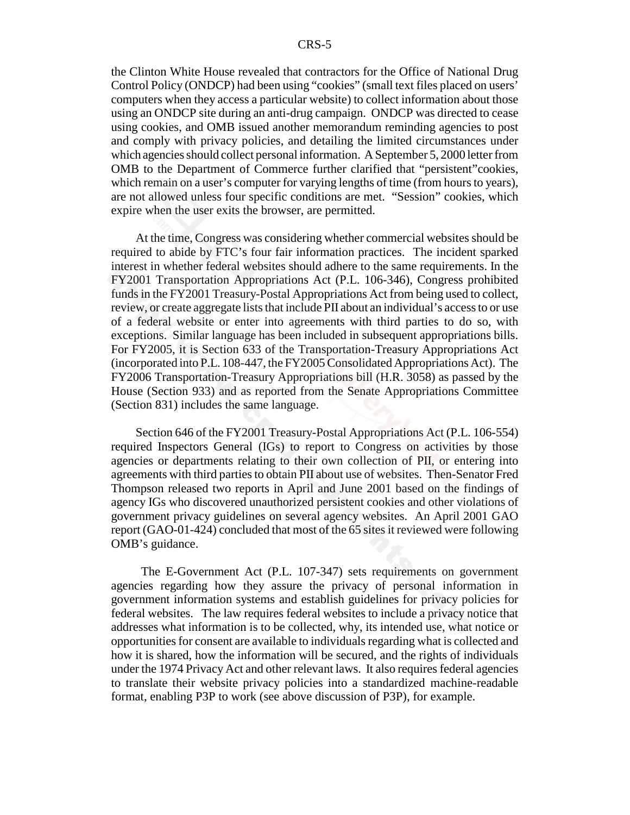the Clinton White House revealed that contractors for the Office of National Drug Control Policy (ONDCP) had been using "cookies" (small text files placed on users' computers when they access a particular website) to collect information about those using an ONDCP site during an anti-drug campaign. ONDCP was directed to cease using cookies, and OMB issued another memorandum reminding agencies to post and comply with privacy policies, and detailing the limited circumstances under which agencies should collect personal information. A September 5, 2000 letter from OMB to the Department of Commerce further clarified that "persistent"cookies, which remain on a user's computer for varying lengths of time (from hours to years), are not allowed unless four specific conditions are met. "Session" cookies, which expire when the user exits the browser, are permitted.

At the time, Congress was considering whether commercial websites should be required to abide by FTC's four fair information practices. The incident sparked interest in whether federal websites should adhere to the same requirements. In the FY2001 Transportation Appropriations Act (P.L. 106-346), Congress prohibited funds in the FY2001 Treasury-Postal Appropriations Act from being used to collect, review, or create aggregate lists that include PII about an individual's access to or use of a federal website or enter into agreements with third parties to do so, with exceptions. Similar language has been included in subsequent appropriations bills. For FY2005, it is Section 633 of the Transportation-Treasury Appropriations Act (incorporated into P.L. 108-447, the FY2005 Consolidated Appropriations Act). The FY2006 Transportation-Treasury Appropriations bill (H.R. 3058) as passed by the House (Section 933) and as reported from the Senate Appropriations Committee (Section 831) includes the same language.

Section 646 of the FY2001 Treasury-Postal Appropriations Act (P.L. 106-554) required Inspectors General (IGs) to report to Congress on activities by those agencies or departments relating to their own collection of PII, or entering into agreements with third parties to obtain PII about use of websites. Then-Senator Fred Thompson released two reports in April and June 2001 based on the findings of agency IGs who discovered unauthorized persistent cookies and other violations of government privacy guidelines on several agency websites. An April 2001 GAO report (GAO-01-424) concluded that most of the 65 sites it reviewed were following OMB's guidance.

 The E-Government Act (P.L. 107-347) sets requirements on government agencies regarding how they assure the privacy of personal information in government information systems and establish guidelines for privacy policies for federal websites. The law requires federal websites to include a privacy notice that addresses what information is to be collected, why, its intended use, what notice or opportunities for consent are available to individuals regarding what is collected and how it is shared, how the information will be secured, and the rights of individuals under the 1974 Privacy Act and other relevant laws. It also requires federal agencies to translate their website privacy policies into a standardized machine-readable format, enabling P3P to work (see above discussion of P3P), for example.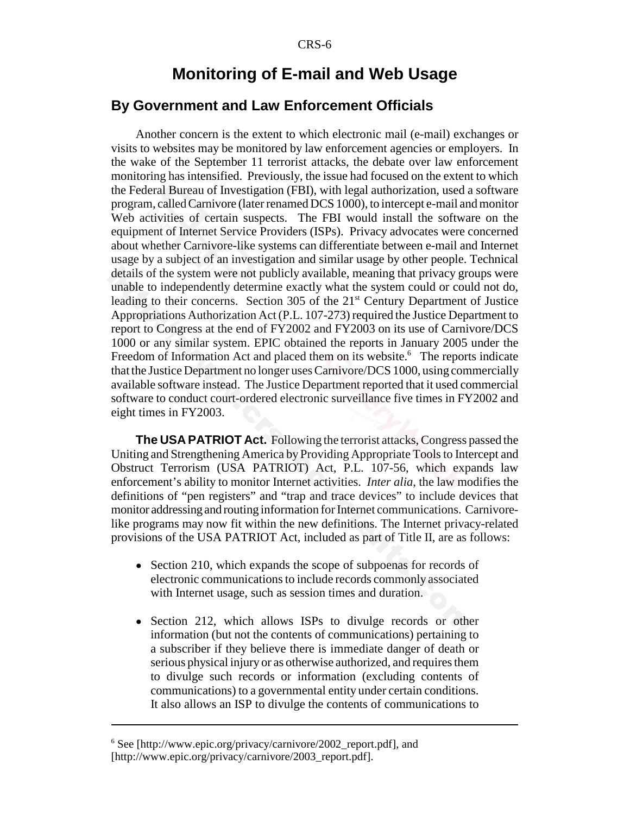# **Monitoring of E-mail and Web Usage**

#### **By Government and Law Enforcement Officials**

Another concern is the extent to which electronic mail (e-mail) exchanges or visits to websites may be monitored by law enforcement agencies or employers. In the wake of the September 11 terrorist attacks, the debate over law enforcement monitoring has intensified. Previously, the issue had focused on the extent to which the Federal Bureau of Investigation (FBI), with legal authorization, used a software program, called Carnivore (later renamed DCS 1000), to intercept e-mail and monitor Web activities of certain suspects. The FBI would install the software on the equipment of Internet Service Providers (ISPs). Privacy advocates were concerned about whether Carnivore-like systems can differentiate between e-mail and Internet usage by a subject of an investigation and similar usage by other people. Technical details of the system were not publicly available, meaning that privacy groups were unable to independently determine exactly what the system could or could not do, leading to their concerns. Section  $305$  of the  $21<sup>st</sup>$  Century Department of Justice Appropriations Authorization Act (P.L. 107-273) required the Justice Department to report to Congress at the end of FY2002 and FY2003 on its use of Carnivore/DCS 1000 or any similar system. EPIC obtained the reports in January 2005 under the Freedom of Information Act and placed them on its website.<sup>6</sup> The reports indicate that the Justice Department no longer uses Carnivore/DCS 1000, using commercially available software instead. The Justice Department reported that it used commercial software to conduct court-ordered electronic surveillance five times in FY2002 and eight times in FY2003.

**The USA PATRIOT Act.** Following the terrorist attacks, Congress passed the Uniting and Strengthening America by Providing Appropriate Tools to Intercept and Obstruct Terrorism (USA PATRIOT) Act, P.L. 107-56, which expands law enforcement's ability to monitor Internet activities. *Inter alia*, the law modifies the definitions of "pen registers" and "trap and trace devices" to include devices that monitor addressing and routing information for Internet communications. Carnivorelike programs may now fit within the new definitions. The Internet privacy-related provisions of the USA PATRIOT Act, included as part of Title II, are as follows:

- Section 210, which expands the scope of subpoenas for records of electronic communications to include records commonly associated with Internet usage, such as session times and duration.
- Section 212, which allows ISPs to divulge records or other information (but not the contents of communications) pertaining to a subscriber if they believe there is immediate danger of death or serious physical injury or as otherwise authorized, and requires them to divulge such records or information (excluding contents of communications) to a governmental entity under certain conditions. It also allows an ISP to divulge the contents of communications to

<sup>6</sup> See [http://www.epic.org/privacy/carnivore/2002\_report.pdf], and [http://www.epic.org/privacy/carnivore/2003\_report.pdf].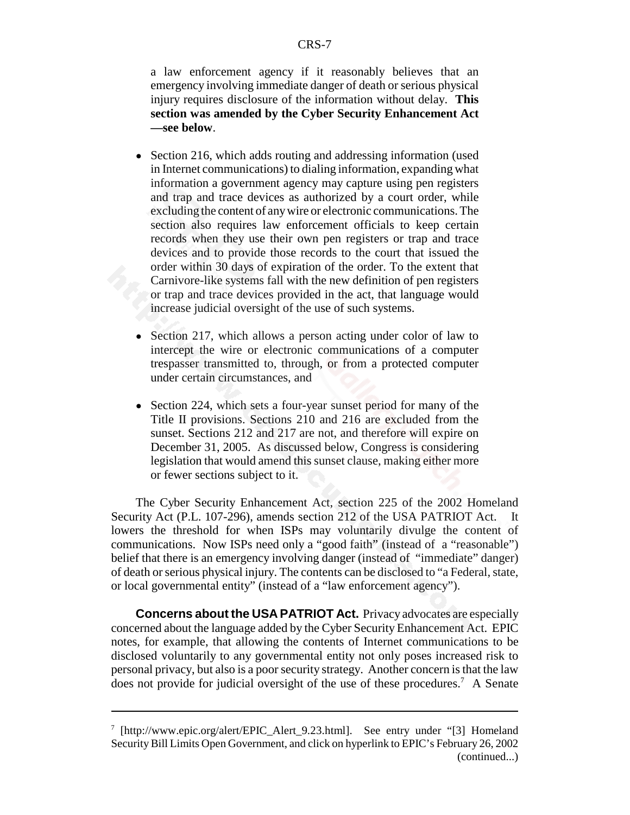a law enforcement agency if it reasonably believes that an emergency involving immediate danger of death or serious physical injury requires disclosure of the information without delay. **This section was amended by the Cyber Security Enhancement Act —see below**.

- ! Section 216, which adds routing and addressing information (used in Internet communications) to dialing information, expanding what information a government agency may capture using pen registers and trap and trace devices as authorized by a court order, while excluding the content of any wire or electronic communications. The section also requires law enforcement officials to keep certain records when they use their own pen registers or trap and trace devices and to provide those records to the court that issued the order within 30 days of expiration of the order. To the extent that Carnivore-like systems fall with the new definition of pen registers or trap and trace devices provided in the act, that language would increase judicial oversight of the use of such systems.
- Section 217, which allows a person acting under color of law to intercept the wire or electronic communications of a computer trespasser transmitted to, through, or from a protected computer under certain circumstances, and
- Section 224, which sets a four-year sunset period for many of the Title II provisions. Sections 210 and 216 are excluded from the sunset. Sections 212 and 217 are not, and therefore will expire on December 31, 2005. As discussed below, Congress is considering legislation that would amend this sunset clause, making either more or fewer sections subject to it.

The Cyber Security Enhancement Act, section 225 of the 2002 Homeland Security Act (P.L. 107-296), amends section 212 of the USA PATRIOT Act. It lowers the threshold for when ISPs may voluntarily divulge the content of communications. Now ISPs need only a "good faith" (instead of a "reasonable") belief that there is an emergency involving danger (instead of "immediate" danger) of death or serious physical injury. The contents can be disclosed to "a Federal, state, or local governmental entity" (instead of a "law enforcement agency").

**Concerns about the USA PATRIOT Act.** Privacy advocates are especially concerned about the language added by the Cyber Security Enhancement Act. EPIC notes, for example, that allowing the contents of Internet communications to be disclosed voluntarily to any governmental entity not only poses increased risk to personal privacy, but also is a poor security strategy. Another concern is that the law does not provide for judicial oversight of the use of these procedures.<sup>7</sup> A Senate

<sup>&</sup>lt;sup>7</sup> [http://www.epic.org/alert/EPIC\_Alert\_9.23.html]. See entry under "[3] Homeland Security Bill Limits Open Government, and click on hyperlink to EPIC's February 26, 2002 (continued...)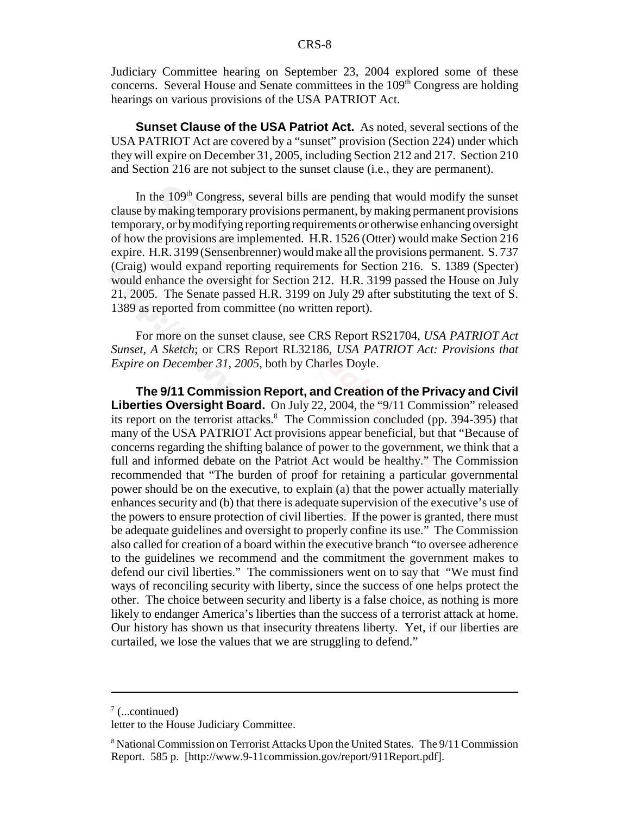Judiciary Committee hearing on September 23, 2004 explored some of these concerns. Several House and Senate committees in the 109<sup>th</sup> Congress are holding hearings on various provisions of the USA PATRIOT Act.

**Sunset Clause of the USA Patriot Act.** As noted, several sections of the USA PATRIOT Act are covered by a "sunset" provision (Section 224) under which they will expire on December 31, 2005, including Section 212 and 217. Section 210 and Section 216 are not subject to the sunset clause (i.e., they are permanent).

In the  $109<sup>th</sup>$  Congress, several bills are pending that would modify the sunset clause by making temporary provisions permanent, by making permanent provisions temporary, or by modifying reporting requirements or otherwise enhancing oversight of how the provisions are implemented. H.R. 1526 (Otter) would make Section 216 expire. H.R. 3199 (Sensenbrenner) would make all the provisions permanent. S. 737 (Craig) would expand reporting requirements for Section 216. S. 1389 (Specter) would enhance the oversight for Section 212. H.R. 3199 passed the House on July 21, 2005. The Senate passed H.R. 3199 on July 29 after substituting the text of S. 1389 as reported from committee (no written report).

For more on the sunset clause, see CRS Report RS21704, *USA PATRIOT Act Sunset, A Sketch*; or CRS Report RL32186, *USA PATRIOT Act: Provisions that Expire on December 31, 2005*, both by Charles Doyle.

**The 9/11 Commission Report, and Creation of the Privacy and Civil Liberties Oversight Board.** On July 22, 2004, the "9/11 Commission" released its report on the terrorist attacks.<sup>8</sup> The Commission concluded (pp. 394-395) that many of the USA PATRIOT Act provisions appear beneficial, but that "Because of concerns regarding the shifting balance of power to the government, we think that a full and informed debate on the Patriot Act would be healthy." The Commission recommended that "The burden of proof for retaining a particular governmental power should be on the executive, to explain (a) that the power actually materially enhances security and (b) that there is adequate supervision of the executive's use of the powers to ensure protection of civil liberties. If the power is granted, there must be adequate guidelines and oversight to properly confine its use." The Commission also called for creation of a board within the executive branch "to oversee adherence to the guidelines we recommend and the commitment the government makes to defend our civil liberties." The commissioners went on to say that "We must find ways of reconciling security with liberty, since the success of one helps protect the other. The choice between security and liberty is a false choice, as nothing is more likely to endanger America's liberties than the success of a terrorist attack at home. Our history has shown us that insecurity threatens liberty. Yet, if our liberties are curtailed, we lose the values that we are struggling to defend."

 $7$  (...continued)

letter to the House Judiciary Committee.

<sup>&</sup>lt;sup>8</sup> National Commission on Terrorist Attacks Upon the United States. The 9/11 Commission Report. 585 p. [http://www.9-11commission.gov/report/911Report.pdf].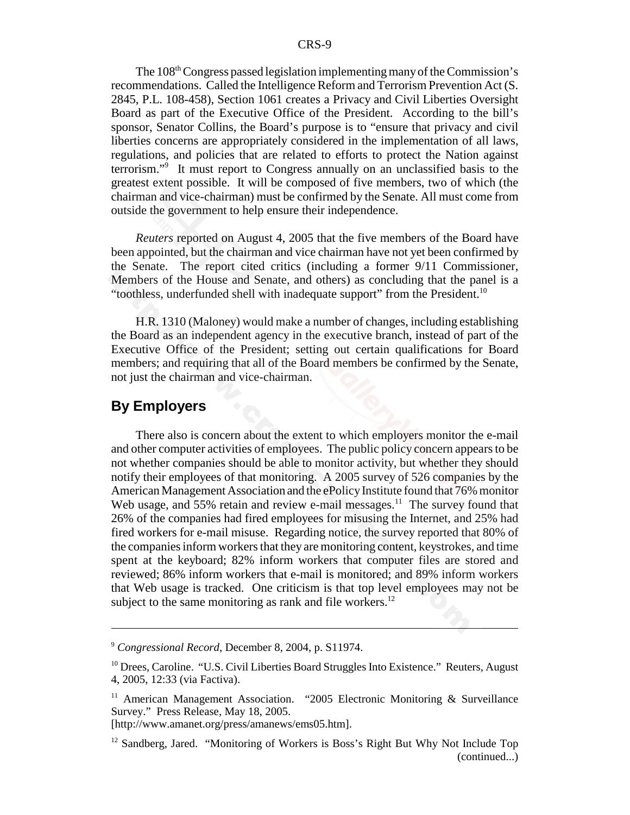The 108<sup>th</sup> Congress passed legislation implementing many of the Commission's recommendations. Called the Intelligence Reform and Terrorism Prevention Act (S. 2845, P.L. 108-458), Section 1061 creates a Privacy and Civil Liberties Oversight Board as part of the Executive Office of the President. According to the bill's sponsor, Senator Collins, the Board's purpose is to "ensure that privacy and civil liberties concerns are appropriately considered in the implementation of all laws, regulations, and policies that are related to efforts to protect the Nation against terrorism."9 It must report to Congress annually on an unclassified basis to the greatest extent possible. It will be composed of five members, two of which (the chairman and vice-chairman) must be confirmed by the Senate. All must come from outside the government to help ensure their independence.

*Reuters* reported on August 4, 2005 that the five members of the Board have been appointed, but the chairman and vice chairman have not yet been confirmed by the Senate. The report cited critics (including a former 9/11 Commissioner, Members of the House and Senate, and others) as concluding that the panel is a "toothless, underfunded shell with inadequate support" from the President.<sup>10</sup>

H.R. 1310 (Maloney) would make a number of changes, including establishing the Board as an independent agency in the executive branch, instead of part of the Executive Office of the President; setting out certain qualifications for Board members; and requiring that all of the Board members be confirmed by the Senate, not just the chairman and vice-chairman.

#### **By Employers**

There also is concern about the extent to which employers monitor the e-mail and other computer activities of employees. The public policy concern appears to be not whether companies should be able to monitor activity, but whether they should notify their employees of that monitoring. A 2005 survey of 526 companies by the American Management Association and the ePolicy Institute found that 76% monitor Web usage, and  $55\%$  retain and review e-mail messages.<sup>11</sup> The survey found that 26% of the companies had fired employees for misusing the Internet, and 25% had fired workers for e-mail misuse. Regarding notice, the survey reported that 80% of the companies inform workers that they are monitoring content, keystrokes, and time spent at the keyboard; 82% inform workers that computer files are stored and reviewed; 86% inform workers that e-mail is monitored; and 89% inform workers that Web usage is tracked. One criticism is that top level employees may not be subject to the same monitoring as rank and file workers. $^{12}$ 

[http://www.amanet.org/press/amanews/ems05.htm].

<sup>9</sup> *Congressional Record*, December 8, 2004, p. S11974.

<sup>&</sup>lt;sup>10</sup> Drees, Caroline. "U.S. Civil Liberties Board Struggles Into Existence." Reuters, August 4, 2005, 12:33 (via Factiva).

<sup>&</sup>lt;sup>11</sup> American Management Association. "2005 Electronic Monitoring  $\&$  Surveillance Survey." Press Release, May 18, 2005.

<sup>&</sup>lt;sup>12</sup> Sandberg, Jared. "Monitoring of Workers is Boss's Right But Why Not Include Top (continued...)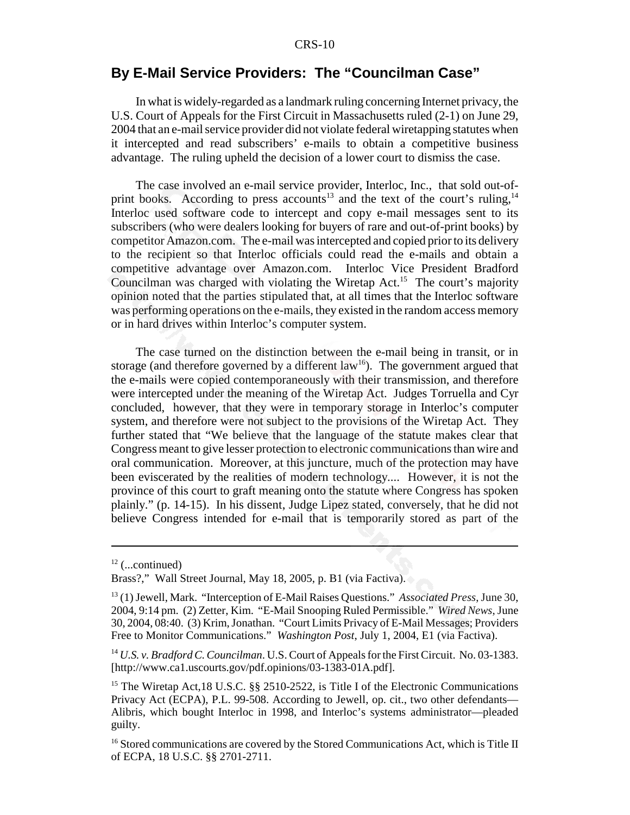#### **By E-Mail Service Providers: The "Councilman Case"**

In what is widely-regarded as a landmark ruling concerning Internet privacy, the U.S. Court of Appeals for the First Circuit in Massachusetts ruled (2-1) on June 29, 2004 that an e-mail service provider did not violate federal wiretapping statutes when it intercepted and read subscribers' e-mails to obtain a competitive business advantage. The ruling upheld the decision of a lower court to dismiss the case.

The case involved an e-mail service provider, Interloc, Inc., that sold out-ofprint books. According to press accounts<sup>13</sup> and the text of the court's ruling,<sup>14</sup> Interloc used software code to intercept and copy e-mail messages sent to its subscribers (who were dealers looking for buyers of rare and out-of-print books) by competitor Amazon.com. The e-mail was intercepted and copied prior to its delivery to the recipient so that Interloc officials could read the e-mails and obtain a competitive advantage over Amazon.com. Interloc Vice President Bradford Councilman was charged with violating the Wiretap Act.<sup>15</sup> The court's majority opinion noted that the parties stipulated that, at all times that the Interloc software was performing operations on the e-mails, they existed in the random access memory or in hard drives within Interloc's computer system.

The case turned on the distinction between the e-mail being in transit, or in storage (and therefore governed by a different  $law<sup>16</sup>$ ). The government argued that the e-mails were copied contemporaneously with their transmission, and therefore were intercepted under the meaning of the Wiretap Act. Judges Torruella and Cyr concluded, however, that they were in temporary storage in Interloc's computer system, and therefore were not subject to the provisions of the Wiretap Act. They further stated that "We believe that the language of the statute makes clear that Congress meant to give lesser protection to electronic communications than wire and oral communication. Moreover, at this juncture, much of the protection may have been eviscerated by the realities of modern technology.... However, it is not the province of this court to graft meaning onto the statute where Congress has spoken plainly." (p. 14-15). In his dissent, Judge Lipez stated, conversely, that he did not believe Congress intended for e-mail that is temporarily stored as part of the

 $12$  (...continued)

Brass?," Wall Street Journal, May 18, 2005, p. B1 (via Factiva).

<sup>13 (1)</sup> Jewell, Mark. "Interception of E-Mail Raises Questions." *Associated Press*, June 30, 2004, 9:14 pm. (2) Zetter, Kim. "E-Mail Snooping Ruled Permissible." *Wired News*, June 30, 2004, 08:40. (3) Krim, Jonathan. "Court Limits Privacy of E-Mail Messages; Providers Free to Monitor Communications." *Washington Post*, July 1, 2004, E1 (via Factiva).

<sup>14</sup> *U.S. v. Bradford C. Councilman*. U.S. Court of Appeals for the First Circuit. No. 03-1383. [http://www.ca1.uscourts.gov/pdf.opinions/03-1383-01A.pdf].

<sup>&</sup>lt;sup>15</sup> The Wiretap Act, 18 U.S.C. §§ 2510-2522, is Title I of the Electronic Communications Privacy Act (ECPA), P.L. 99-508. According to Jewell, op. cit., two other defendants— Alibris, which bought Interloc in 1998, and Interloc's systems administrator—pleaded guilty.

<sup>&</sup>lt;sup>16</sup> Stored communications are covered by the Stored Communications Act, which is Title II of ECPA, 18 U.S.C. §§ 2701-2711.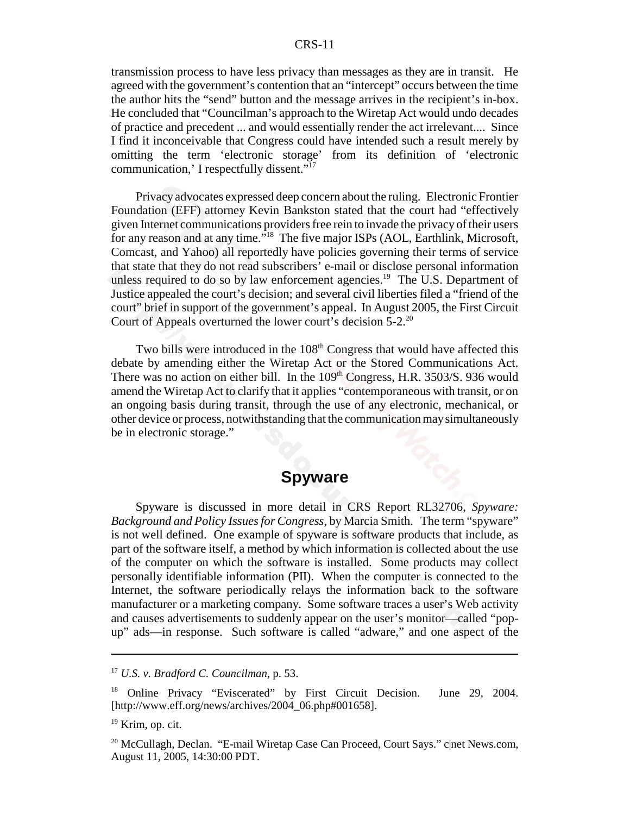transmission process to have less privacy than messages as they are in transit. He agreed with the government's contention that an "intercept" occurs between the time the author hits the "send" button and the message arrives in the recipient's in-box. He concluded that "Councilman's approach to the Wiretap Act would undo decades of practice and precedent ... and would essentially render the act irrelevant.... Since I find it inconceivable that Congress could have intended such a result merely by omitting the term 'electronic storage' from its definition of 'electronic communication,' I respectfully dissent."<sup>17</sup>

Privacy advocates expressed deep concern about the ruling. Electronic Frontier Foundation (EFF) attorney Kevin Bankston stated that the court had "effectively given Internet communications providers free rein to invade the privacy of their users for any reason and at any time."<sup>18</sup> The five major ISPs (AOL, Earthlink, Microsoft, Comcast, and Yahoo) all reportedly have policies governing their terms of service that state that they do not read subscribers' e-mail or disclose personal information unless required to do so by law enforcement agencies.<sup>19</sup> The U.S. Department of Justice appealed the court's decision; and several civil liberties filed a "friend of the court" brief in support of the government's appeal. In August 2005, the First Circuit Court of Appeals overturned the lower court's decision 5-2.<sup>20</sup>

Two bills were introduced in the 108<sup>th</sup> Congress that would have affected this debate by amending either the Wiretap Act or the Stored Communications Act. There was no action on either bill. In the  $109<sup>th</sup>$  Congress, H.R. 3503/S. 936 would amend the Wiretap Act to clarify that it applies "contemporaneous with transit, or on an ongoing basis during transit, through the use of any electronic, mechanical, or other device or process, notwithstanding that the communication may simultaneously be in electronic storage."

## **Spyware**

Spyware is discussed in more detail in CRS Report RL32706, *Spyware: Background and Policy Issues for Congress*, by Marcia Smith. The term "spyware" is not well defined. One example of spyware is software products that include, as part of the software itself, a method by which information is collected about the use of the computer on which the software is installed. Some products may collect personally identifiable information (PII). When the computer is connected to the Internet, the software periodically relays the information back to the software manufacturer or a marketing company. Some software traces a user's Web activity and causes advertisements to suddenly appear on the user's monitor—called "popup" ads—in response. Such software is called "adware," and one aspect of the

<sup>17</sup> *U.S. v. Bradford C. Councilman*, p. 53.

<sup>&</sup>lt;sup>18</sup> Online Privacy "Eviscerated" by First Circuit Decision. June 29, 2004. [http://www.eff.org/news/archives/2004\_06.php#001658].

 $19$  Krim, op. cit.

<sup>&</sup>lt;sup>20</sup> McCullagh, Declan. "E-mail Wiretap Case Can Proceed, Court Says." c|net News.com, August 11, 2005, 14:30:00 PDT.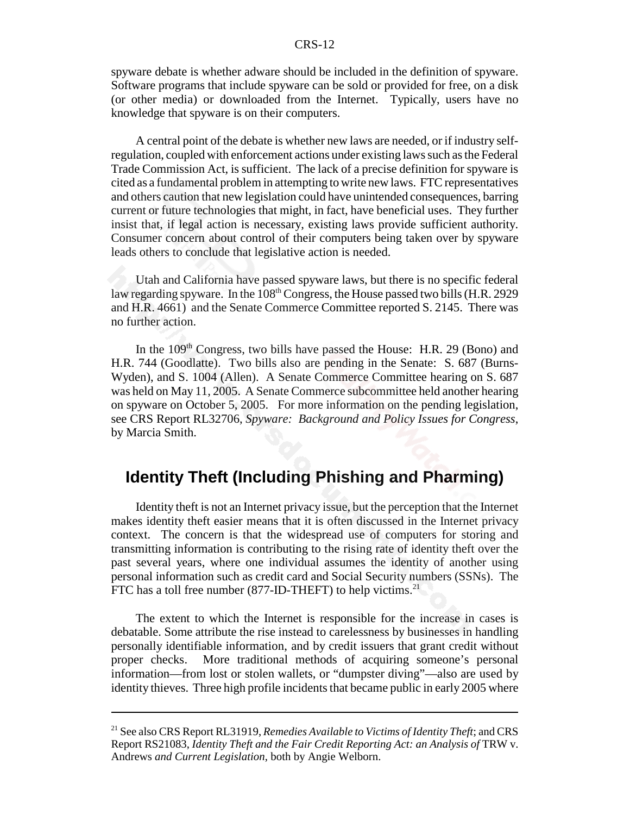spyware debate is whether adware should be included in the definition of spyware. Software programs that include spyware can be sold or provided for free, on a disk (or other media) or downloaded from the Internet. Typically, users have no knowledge that spyware is on their computers.

A central point of the debate is whether new laws are needed, or if industry selfregulation, coupled with enforcement actions under existing laws such as the Federal Trade Commission Act, is sufficient. The lack of a precise definition for spyware is cited as a fundamental problem in attempting to write new laws. FTC representatives and others caution that new legislation could have unintended consequences, barring current or future technologies that might, in fact, have beneficial uses. They further insist that, if legal action is necessary, existing laws provide sufficient authority. Consumer concern about control of their computers being taken over by spyware leads others to conclude that legislative action is needed.

Utah and California have passed spyware laws, but there is no specific federal law regarding spyware. In the  $108<sup>th</sup> Congress$ , the House passed two bills (H.R. 2929) and H.R. 4661) and the Senate Commerce Committee reported S. 2145. There was no further action.

In the  $109<sup>th</sup>$  Congress, two bills have passed the House: H.R. 29 (Bono) and H.R. 744 (Goodlatte). Two bills also are pending in the Senate: S. 687 (Burns-Wyden), and S. 1004 (Allen). A Senate Commerce Committee hearing on S. 687 was held on May 11, 2005. A Senate Commerce subcommittee held another hearing on spyware on October 5, 2005. For more information on the pending legislation, see CRS Report RL32706, *Spyware: Background and Policy Issues for Congress*, by Marcia Smith.

# **Identity Theft (Including Phishing and Pharming)**

Identity theft is not an Internet privacy issue, but the perception that the Internet makes identity theft easier means that it is often discussed in the Internet privacy context. The concern is that the widespread use of computers for storing and transmitting information is contributing to the rising rate of identity theft over the past several years, where one individual assumes the identity of another using personal information such as credit card and Social Security numbers (SSNs). The FTC has a toll free number (877-ID-THEFT) to help victims.<sup>21</sup>

The extent to which the Internet is responsible for the increase in cases is debatable. Some attribute the rise instead to carelessness by businesses in handling personally identifiable information, and by credit issuers that grant credit without proper checks. More traditional methods of acquiring someone's personal information—from lost or stolen wallets, or "dumpster diving"—also are used by identity thieves. Three high profile incidents that became public in early 2005 where

<sup>21</sup> See also CRS Report RL31919, *Remedies Available to Victims of Identity Theft*; and CRS Report RS21083, *Identity Theft and the Fair Credit Reporting Act: an Analysis of* TRW v. Andrews *and Current Legislation*, both by Angie Welborn.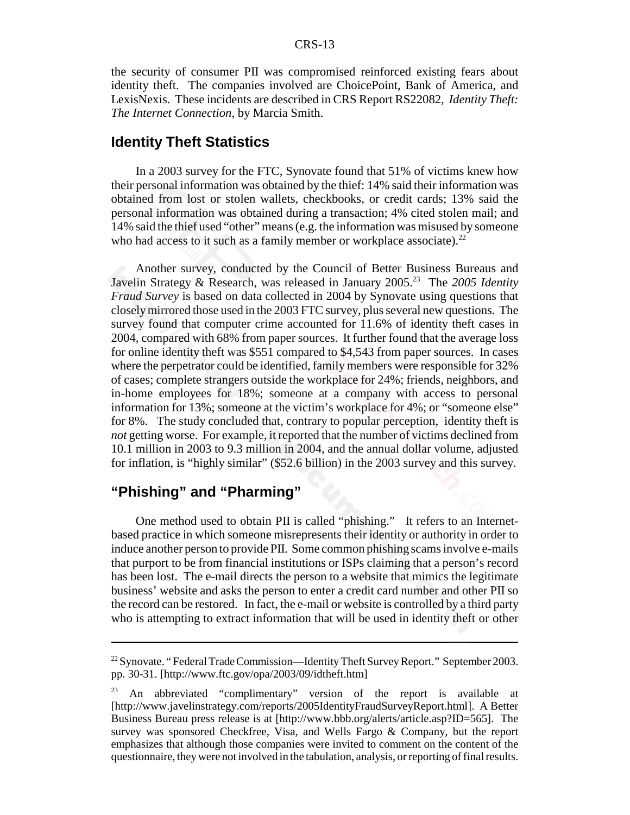the security of consumer PII was compromised reinforced existing fears about identity theft. The companies involved are ChoicePoint, Bank of America, and LexisNexis. These incidents are described in CRS Report RS22082, *Identity Theft: The Internet Connection*, by Marcia Smith.

#### **Identity Theft Statistics**

In a 2003 survey for the FTC, Synovate found that 51% of victims knew how their personal information was obtained by the thief: 14% said their information was obtained from lost or stolen wallets, checkbooks, or credit cards; 13% said the personal information was obtained during a transaction; 4% cited stolen mail; and 14% said the thief used "other" means (e.g. the information was misused by someone who had access to it such as a family member or workplace associate). $^{22}$ 

Another survey, conducted by the Council of Better Business Bureaus and Javelin Strategy & Research, was released in January 2005.23 The *2005 Identity Fraud Survey* is based on data collected in 2004 by Synovate using questions that closely mirrored those used in the 2003 FTC survey, plus several new questions. The survey found that computer crime accounted for 11.6% of identity theft cases in 2004, compared with 68% from paper sources. It further found that the average loss for online identity theft was \$551 compared to \$4,543 from paper sources. In cases where the perpetrator could be identified, family members were responsible for 32% of cases; complete strangers outside the workplace for 24%; friends, neighbors, and in-home employees for 18%; someone at a company with access to personal information for 13%; someone at the victim's workplace for 4%; or "someone else" for 8%. The study concluded that, contrary to popular perception, identity theft is *not* getting worse. For example, it reported that the number of victims declined from 10.1 million in 2003 to 9.3 million in 2004, and the annual dollar volume, adjusted for inflation, is "highly similar" (\$52.6 billion) in the 2003 survey and this survey.

### **"Phishing" and "Pharming"**

One method used to obtain PII is called "phishing." It refers to an Internetbased practice in which someone misrepresents their identity or authority in order to induce another person to provide PII. Some common phishing scams involve e-mails that purport to be from financial institutions or ISPs claiming that a person's record has been lost. The e-mail directs the person to a website that mimics the legitimate business' website and asks the person to enter a credit card number and other PII so the record can be restored. In fact, the e-mail or website is controlled by a third party who is attempting to extract information that will be used in identity theft or other

<sup>&</sup>lt;sup>22</sup> Synovate. "Federal Trade Commission—Identity Theft Survey Report." September 2003. pp. 30-31. [http://www.ftc.gov/opa/2003/09/idtheft.htm]

<sup>&</sup>lt;sup>23</sup> An abbreviated "complimentary" version of the report is available at [http://www.javelinstrategy.com/reports/2005IdentityFraudSurveyReport.html]. A Better Business Bureau press release is at [http://www.bbb.org/alerts/article.asp?ID=565]. The survey was sponsored Checkfree, Visa, and Wells Fargo & Company, but the report emphasizes that although those companies were invited to comment on the content of the questionnaire, they were not involved in the tabulation, analysis, or reporting of final results.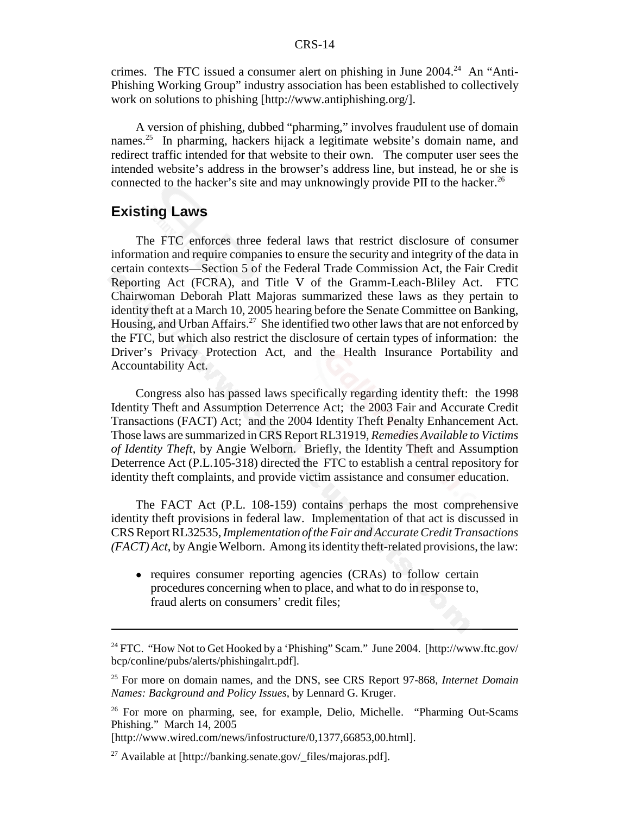crimes. The FTC issued a consumer alert on phishing in June  $2004.<sup>24</sup>$  An "Anti-Phishing Working Group" industry association has been established to collectively work on solutions to phishing [http://www.antiphishing.org/].

A version of phishing, dubbed "pharming," involves fraudulent use of domain names.<sup>25</sup> In pharming, hackers hijack a legitimate website's domain name, and redirect traffic intended for that website to their own. The computer user sees the intended website's address in the browser's address line, but instead, he or she is connected to the hacker's site and may unknowingly provide PII to the hacker.<sup>26</sup>

#### **Existing Laws**

The FTC enforces three federal laws that restrict disclosure of consumer information and require companies to ensure the security and integrity of the data in certain contexts—Section 5 of the Federal Trade Commission Act, the Fair Credit Reporting Act (FCRA), and Title V of the Gramm-Leach-Bliley Act. FTC Chairwoman Deborah Platt Majoras summarized these laws as they pertain to identity theft at a March 10, 2005 hearing before the Senate Committee on Banking, Housing, and Urban Affairs.<sup>27</sup> She identified two other laws that are not enforced by the FTC, but which also restrict the disclosure of certain types of information: the Driver's Privacy Protection Act, and the Health Insurance Portability and Accountability Act.

Congress also has passed laws specifically regarding identity theft: the 1998 Identity Theft and Assumption Deterrence Act; the 2003 Fair and Accurate Credit Transactions (FACT) Act; and the 2004 Identity Theft Penalty Enhancement Act. Those laws are summarized in CRS Report RL31919, *Remedies Available to Victims of Identity Theft*, by Angie Welborn. Briefly, the Identity Theft and Assumption Deterrence Act (P.L.105-318) directed the FTC to establish a central repository for identity theft complaints, and provide victim assistance and consumer education.

The FACT Act (P.L. 108-159) contains perhaps the most comprehensive identity theft provisions in federal law. Implementation of that act is discussed in CRS Report RL32535, *Implementation of the Fair and Accurate Credit Transactions (FACT) Act*, by Angie Welborn. Among its identity theft-related provisions, the law:

• requires consumer reporting agencies (CRAs) to follow certain procedures concerning when to place, and what to do in response to, fraud alerts on consumers' credit files;

<sup>&</sup>lt;sup>24</sup> FTC. "How Not to Get Hooked by a 'Phishing" Scam." June 2004. [http://www.ftc.gov/ bcp/conline/pubs/alerts/phishingalrt.pdf].

<sup>25</sup> For more on domain names, and the DNS, see CRS Report 97-868, *Internet Domain Names: Background and Policy Issues*, by Lennard G. Kruger.

<sup>&</sup>lt;sup>26</sup> For more on pharming, see, for example, Delio, Michelle. "Pharming Out-Scams Phishing." March 14, 2005

<sup>[</sup>http://www.wired.com/news/infostructure/0,1377,66853,00.html].

<sup>&</sup>lt;sup>27</sup> Available at [http://banking.senate.gov/ files/majoras.pdf].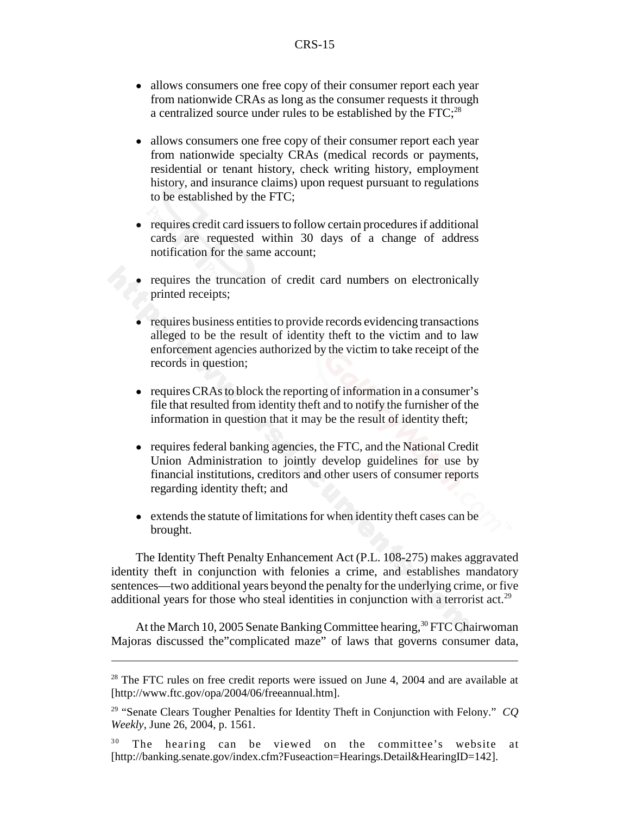- allows consumers one free copy of their consumer report each year from nationwide CRAs as long as the consumer requests it through a centralized source under rules to be established by the  $FTC$ ;<sup>28</sup>
- allows consumers one free copy of their consumer report each year from nationwide specialty CRAs (medical records or payments, residential or tenant history, check writing history, employment history, and insurance claims) upon request pursuant to regulations to be established by the FTC;
- requires credit card issuers to follow certain procedures if additional cards are requested within 30 days of a change of address notification for the same account;
- requires the truncation of credit card numbers on electronically printed receipts;
- ! requires business entities to provide records evidencing transactions alleged to be the result of identity theft to the victim and to law enforcement agencies authorized by the victim to take receipt of the records in question;
- requires CRAs to block the reporting of information in a consumer's file that resulted from identity theft and to notify the furnisher of the information in question that it may be the result of identity theft;
- requires federal banking agencies, the FTC, and the National Credit Union Administration to jointly develop guidelines for use by financial institutions, creditors and other users of consumer reports regarding identity theft; and
- extends the statute of limitations for when identity theft cases can be brought.

The Identity Theft Penalty Enhancement Act (P.L. 108-275) makes aggravated identity theft in conjunction with felonies a crime, and establishes mandatory sentences—two additional years beyond the penalty for the underlying crime, or five additional years for those who steal identities in conjunction with a terrorist act.<sup>29</sup>

At the March 10, 2005 Senate Banking Committee hearing,<sup>30</sup> FTC Chairwoman Majoras discussed the"complicated maze" of laws that governs consumer data,

 $28$  The FTC rules on free credit reports were issued on June 4, 2004 and are available at [http://www.ftc.gov/opa/2004/06/freeannual.htm].

<sup>29 &</sup>quot;Senate Clears Tougher Penalties for Identity Theft in Conjunction with Felony." *CQ Weekly*, June 26, 2004, p. 1561.

 $30$  The hearing can be viewed on the committee's website at [http://banking.senate.gov/index.cfm?Fuseaction=Hearings.Detail&HearingID=142].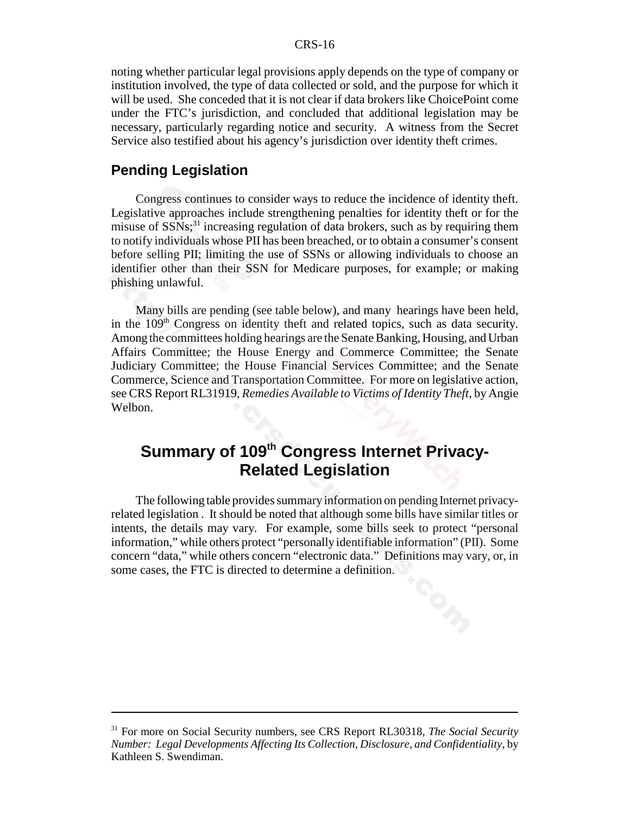noting whether particular legal provisions apply depends on the type of company or institution involved, the type of data collected or sold, and the purpose for which it will be used. She conceded that it is not clear if data brokers like ChoicePoint come under the FTC's jurisdiction, and concluded that additional legislation may be necessary, particularly regarding notice and security. A witness from the Secret Service also testified about his agency's jurisdiction over identity theft crimes.

#### **Pending Legislation**

Congress continues to consider ways to reduce the incidence of identity theft. Legislative approaches include strengthening penalties for identity theft or for the misuse of SSNs;<sup>31</sup> increasing regulation of data brokers, such as by requiring them to notify individuals whose PII has been breached, or to obtain a consumer's consent before selling PII; limiting the use of SSNs or allowing individuals to choose an identifier other than their SSN for Medicare purposes, for example; or making phishing unlawful.

Many bills are pending (see table below), and many hearings have been held, in the  $109<sup>th</sup>$  Congress on identity theft and related topics, such as data security. Among the committees holding hearings are the Senate Banking, Housing, and Urban Affairs Committee; the House Energy and Commerce Committee; the Senate Judiciary Committee; the House Financial Services Committee; and the Senate Commerce, Science and Transportation Committee. For more on legislative action, see CRS Report RL31919, *Remedies Available to Victims of Identity Theft*, by Angie Welbon.

# **Summary of 109<sup>th</sup> Congress Internet Privacy-Related Legislation**

The following table provides summary information on pending Internet privacyrelated legislation . It should be noted that although some bills have similar titles or intents, the details may vary. For example, some bills seek to protect "personal information," while others protect "personally identifiable information" (PII). Some concern "data," while others concern "electronic data." Definitions may vary, or, in some cases, the FTC is directed to determine a definition.

<sup>31</sup> For more on Social Security numbers, see CRS Report RL30318, *The Social Security Number: Legal Developments Affecting Its Collection, Disclosure, and Confidentiality*, by Kathleen S. Swendiman.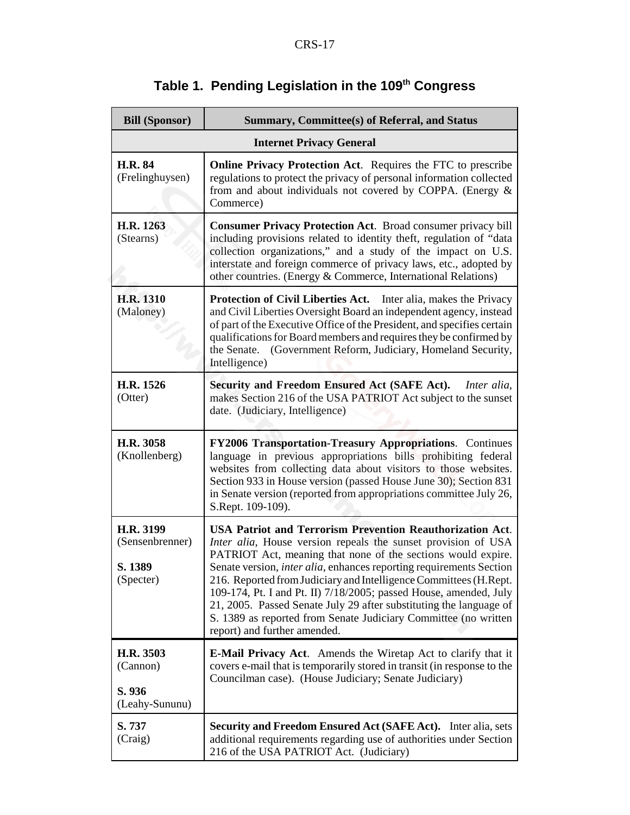| <b>Bill (Sponsor)</b>                                | <b>Summary, Committee(s) of Referral, and Status</b>                                                                                                                                                                                                                                                                                                                                                                                                                                                                                                                                        |  |  |
|------------------------------------------------------|---------------------------------------------------------------------------------------------------------------------------------------------------------------------------------------------------------------------------------------------------------------------------------------------------------------------------------------------------------------------------------------------------------------------------------------------------------------------------------------------------------------------------------------------------------------------------------------------|--|--|
| <b>Internet Privacy General</b>                      |                                                                                                                                                                                                                                                                                                                                                                                                                                                                                                                                                                                             |  |  |
| <b>H.R. 84</b><br>(Frelinghuysen)                    | <b>Online Privacy Protection Act.</b> Requires the FTC to prescribe<br>regulations to protect the privacy of personal information collected<br>from and about individuals not covered by COPPA. (Energy &<br>Commerce)                                                                                                                                                                                                                                                                                                                                                                      |  |  |
| H.R. 1263<br>(Stearns)                               | <b>Consumer Privacy Protection Act.</b> Broad consumer privacy bill<br>including provisions related to identity theft, regulation of "data<br>collection organizations," and a study of the impact on U.S.<br>interstate and foreign commerce of privacy laws, etc., adopted by<br>other countries. (Energy & Commerce, International Relations)                                                                                                                                                                                                                                            |  |  |
| <b>H.R. 1310</b><br>(Maloney)                        | <b>Protection of Civil Liberties Act.</b> Inter alia, makes the Privacy<br>and Civil Liberties Oversight Board an independent agency, instead<br>of part of the Executive Office of the President, and specifies certain<br>qualifications for Board members and requires they be confirmed by<br>the Senate. (Government Reform, Judiciary, Homeland Security,<br>Intelligence)                                                                                                                                                                                                            |  |  |
| H.R. 1526<br>(Otter)                                 | Security and Freedom Ensured Act (SAFE Act).<br>Inter alia,<br>makes Section 216 of the USA PATRIOT Act subject to the sunset<br>date. (Judiciary, Intelligence)                                                                                                                                                                                                                                                                                                                                                                                                                            |  |  |
| H.R. 3058<br>(Knollenberg)                           | FY2006 Transportation-Treasury Appropriations. Continues<br>language in previous appropriations bills prohibiting federal<br>websites from collecting data about visitors to those websites.<br>Section 933 in House version (passed House June 30); Section 831<br>in Senate version (reported from appropriations committee July 26,<br>S.Rept. 109-109).                                                                                                                                                                                                                                 |  |  |
| H.R. 3199<br>(Sensenbrenner)<br>S. 1389<br>(Specter) | <b>USA Patriot and Terrorism Prevention Reauthorization Act.</b><br>Inter alia, House version repeals the sunset provision of USA<br>PATRIOT Act, meaning that none of the sections would expire.<br>Senate version, inter alia, enhances reporting requirements Section<br>216. Reported from Judiciary and Intelligence Committees (H.Rept.<br>109-174, Pt. I and Pt. II) 7/18/2005; passed House, amended, July<br>21, 2005. Passed Senate July 29 after substituting the language of<br>S. 1389 as reported from Senate Judiciary Committee (no written<br>report) and further amended. |  |  |
| H.R. 3503<br>(Cannon)<br>S. 936<br>(Leahy-Sununu)    | <b>E-Mail Privacy Act.</b> Amends the Wiretap Act to clarify that it<br>covers e-mail that is temporarily stored in transit (in response to the<br>Councilman case). (House Judiciary; Senate Judiciary)                                                                                                                                                                                                                                                                                                                                                                                    |  |  |
| S.737<br>(Craig)                                     | <b>Security and Freedom Ensured Act (SAFE Act).</b> Inter alia, sets<br>additional requirements regarding use of authorities under Section<br>216 of the USA PATRIOT Act. (Judiciary)                                                                                                                                                                                                                                                                                                                                                                                                       |  |  |

# Table 1. Pending Legislation in the 109<sup>th</sup> Congress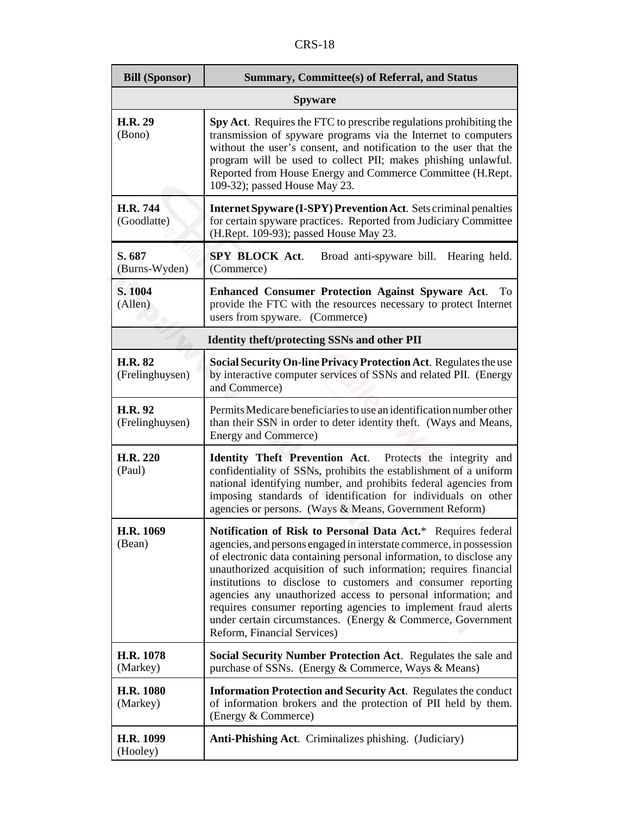| <b>Bill (Sponsor)</b>             | <b>Summary, Committee(s) of Referral, and Status</b>                                                                                                                                                                                                                                                                                                                                                                                                                                                                                                                            |  |  |
|-----------------------------------|---------------------------------------------------------------------------------------------------------------------------------------------------------------------------------------------------------------------------------------------------------------------------------------------------------------------------------------------------------------------------------------------------------------------------------------------------------------------------------------------------------------------------------------------------------------------------------|--|--|
| <b>Spyware</b>                    |                                                                                                                                                                                                                                                                                                                                                                                                                                                                                                                                                                                 |  |  |
| <b>H.R. 29</b><br>(Bono)          | Spy Act. Requires the FTC to prescribe regulations prohibiting the<br>transmission of spyware programs via the Internet to computers<br>without the user's consent, and notification to the user that the<br>program will be used to collect PII; makes phishing unlawful.<br>Reported from House Energy and Commerce Committee (H.Rept.<br>109-32); passed House May 23.                                                                                                                                                                                                       |  |  |
| H.R. 744<br>(Goodlatte)           | <b>Internet Spyware (I-SPY) Prevention Act.</b> Sets criminal penalties<br>for certain spyware practices. Reported from Judiciary Committee<br>(H.Rept. 109-93); passed House May 23.                                                                                                                                                                                                                                                                                                                                                                                           |  |  |
| S. 687<br>(Burns-Wyden)           | <b>SPY BLOCK Act.</b><br>Broad anti-spyware bill. Hearing held.<br>(Commerce)                                                                                                                                                                                                                                                                                                                                                                                                                                                                                                   |  |  |
| S. 1004<br>(Allen)                | <b>Enhanced Consumer Protection Against Spyware Act.</b><br>To<br>provide the FTC with the resources necessary to protect Internet<br>users from spyware. (Commerce)                                                                                                                                                                                                                                                                                                                                                                                                            |  |  |
|                                   | <b>Identity theft/protecting SSNs and other PII</b>                                                                                                                                                                                                                                                                                                                                                                                                                                                                                                                             |  |  |
| <b>H.R. 82</b><br>(Frelinghuysen) | Social Security On-line Privacy Protection Act. Regulates the use<br>by interactive computer services of SSNs and related PII. (Energy<br>and Commerce)                                                                                                                                                                                                                                                                                                                                                                                                                         |  |  |
| H.R. 92<br>(Frelinghuysen)        | Permits Medicare beneficiaries to use an identification number other<br>than their SSN in order to deter identity theft. (Ways and Means,<br><b>Energy and Commerce)</b>                                                                                                                                                                                                                                                                                                                                                                                                        |  |  |
| H.R. 220<br>(Paul)                | Identity Theft Prevention Act. Protects the integrity and<br>confidentiality of SSNs, prohibits the establishment of a uniform<br>national identifying number, and prohibits federal agencies from<br>imposing standards of identification for individuals on other<br>agencies or persons. (Ways & Means, Government Reform)                                                                                                                                                                                                                                                   |  |  |
| H.R. 1069<br>(Bean)               | Notification of Risk to Personal Data Act.* Requires federal<br>agencies, and persons engaged in interstate commerce, in possession<br>of electronic data containing personal information, to disclose any<br>unauthorized acquisition of such information; requires financial<br>institutions to disclose to customers and consumer reporting<br>agencies any unauthorized access to personal information; and<br>requires consumer reporting agencies to implement fraud alerts<br>under certain circumstances. (Energy & Commerce, Government<br>Reform, Financial Services) |  |  |
| H.R. 1078<br>(Markey)             | Social Security Number Protection Act. Regulates the sale and<br>purchase of SSNs. (Energy & Commerce, Ways & Means)                                                                                                                                                                                                                                                                                                                                                                                                                                                            |  |  |
| <b>H.R. 1080</b><br>(Markey)      | <b>Information Protection and Security Act. Regulates the conduct</b><br>of information brokers and the protection of PII held by them.<br>(Energy & Commerce)                                                                                                                                                                                                                                                                                                                                                                                                                  |  |  |
| H.R. 1099<br>(Hooley)             | <b>Anti-Phishing Act.</b> Criminalizes phishing. (Judiciary)                                                                                                                                                                                                                                                                                                                                                                                                                                                                                                                    |  |  |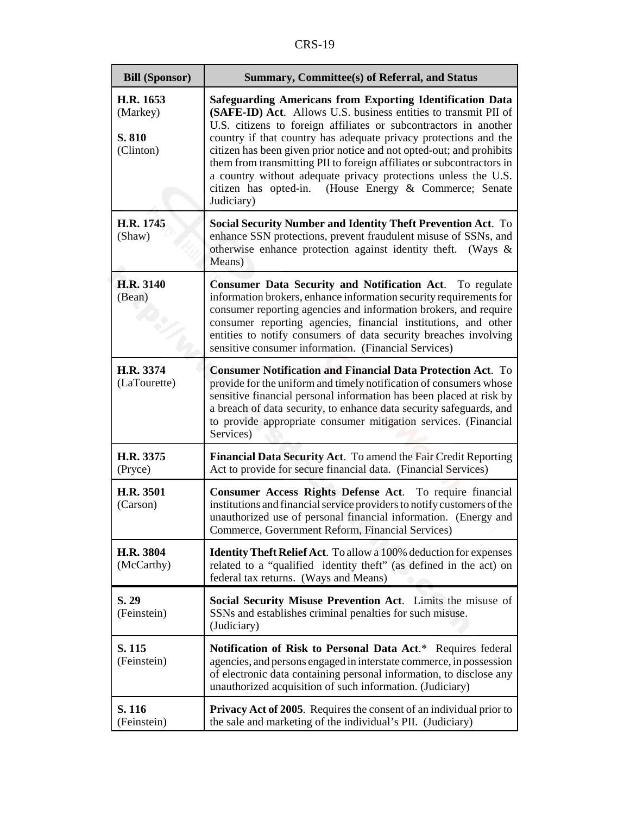CRS-19

| <b>Bill (Sponsor)</b>                        | <b>Summary, Committee(s) of Referral, and Status</b>                                                                                                                                                                                                                                                                                                                                                                                                                                                                                                                   |
|----------------------------------------------|------------------------------------------------------------------------------------------------------------------------------------------------------------------------------------------------------------------------------------------------------------------------------------------------------------------------------------------------------------------------------------------------------------------------------------------------------------------------------------------------------------------------------------------------------------------------|
| H.R. 1653<br>(Markey)<br>S. 810<br>(Clinton) | <b>Safeguarding Americans from Exporting Identification Data</b><br>(SAFE-ID) Act. Allows U.S. business entities to transmit PII of<br>U.S. citizens to foreign affiliates or subcontractors in another<br>country if that country has adequate privacy protections and the<br>citizen has been given prior notice and not opted-out; and prohibits<br>them from transmitting PII to foreign affiliates or subcontractors in<br>a country without adequate privacy protections unless the U.S.<br>citizen has opted-in. (House Energy & Commerce; Senate<br>Judiciary) |
| H.R. 1745<br>(Shaw)                          | Social Security Number and Identity Theft Prevention Act. To<br>enhance SSN protections, prevent fraudulent misuse of SSNs, and<br>otherwise enhance protection against identity theft. (Ways &<br>Means)                                                                                                                                                                                                                                                                                                                                                              |
| H.R. 3140<br>(Bean)                          | <b>Consumer Data Security and Notification Act.</b> To regulate<br>information brokers, enhance information security requirements for<br>consumer reporting agencies and information brokers, and require<br>consumer reporting agencies, financial institutions, and other<br>entities to notify consumers of data security breaches involving<br>sensitive consumer information. (Financial Services)                                                                                                                                                                |
| H.R. 3374<br>(LaTourette)                    | <b>Consumer Notification and Financial Data Protection Act.</b> To<br>provide for the uniform and timely notification of consumers whose<br>sensitive financial personal information has been placed at risk by<br>a breach of data security, to enhance data security safeguards, and<br>to provide appropriate consumer mitigation services. (Financial<br>Services)                                                                                                                                                                                                 |
| H.R. 3375<br>(Pryce)                         | <b>Financial Data Security Act.</b> To amend the Fair Credit Reporting<br>Act to provide for secure financial data. (Financial Services)                                                                                                                                                                                                                                                                                                                                                                                                                               |
| H.R. 3501<br>(Carson)                        | Consumer Access Rights Defense Act. To require financial<br>institutions and financial service providers to notify customers of the<br>unauthorized use of personal financial information. (Energy and<br>Commerce, Government Reform, Financial Services)                                                                                                                                                                                                                                                                                                             |
| H.R. 3804<br>(McCarthy)                      | Identity Theft Relief Act. To allow a 100% deduction for expenses<br>related to a "qualified identity theft" (as defined in the act) on<br>federal tax returns. (Ways and Means)                                                                                                                                                                                                                                                                                                                                                                                       |
| S. 29<br>(Feinstein)                         | Social Security Misuse Prevention Act. Limits the misuse of<br>SSNs and establishes criminal penalties for such misuse.<br>(Judiciary)                                                                                                                                                                                                                                                                                                                                                                                                                                 |
| S. 115<br>(Feinstein)                        | Notification of Risk to Personal Data Act.* Requires federal<br>agencies, and persons engaged in interstate commerce, in possession<br>of electronic data containing personal information, to disclose any<br>unauthorized acquisition of such information. (Judiciary)                                                                                                                                                                                                                                                                                                |
| S. 116<br>(Feinstein)                        | <b>Privacy Act of 2005.</b> Requires the consent of an individual prior to<br>the sale and marketing of the individual's PII. (Judiciary)                                                                                                                                                                                                                                                                                                                                                                                                                              |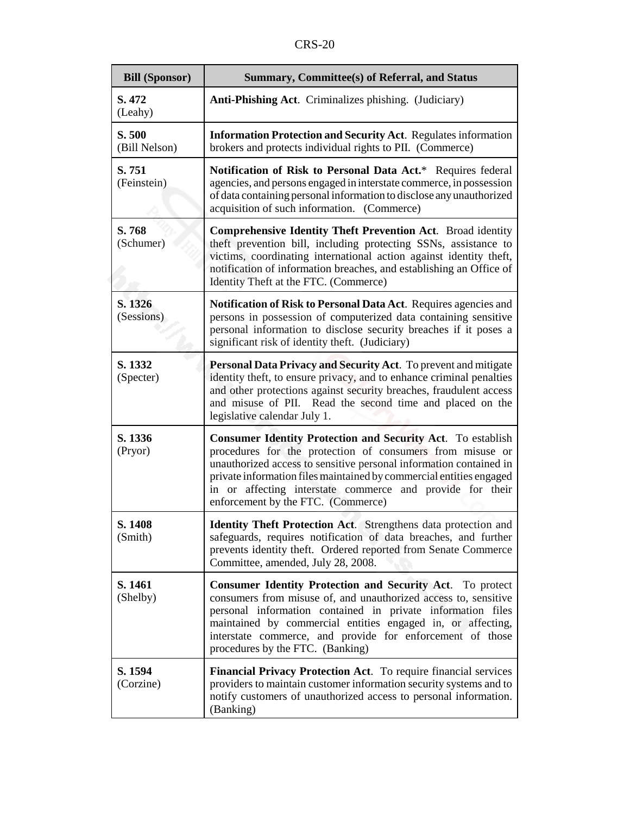CRS-20

| <b>Bill (Sponsor)</b>   | <b>Summary, Committee(s) of Referral, and Status</b>                                                                                                                                                                                                                                                                                                                            |  |
|-------------------------|---------------------------------------------------------------------------------------------------------------------------------------------------------------------------------------------------------------------------------------------------------------------------------------------------------------------------------------------------------------------------------|--|
| S. 472<br>(Leahy)       | <b>Anti-Phishing Act.</b> Criminalizes phishing. (Judiciary)                                                                                                                                                                                                                                                                                                                    |  |
| S. 500<br>(Bill Nelson) | <b>Information Protection and Security Act. Regulates information</b><br>brokers and protects individual rights to PII. (Commerce)                                                                                                                                                                                                                                              |  |
| S. 751<br>(Feinstein)   | Notification of Risk to Personal Data Act.* Requires federal<br>agencies, and persons engaged in interstate commerce, in possession<br>of data containing personal information to disclose any unauthorized<br>acquisition of such information. (Commerce)                                                                                                                      |  |
| S.768<br>(Schumer)      | <b>Comprehensive Identity Theft Prevention Act.</b> Broad identity<br>theft prevention bill, including protecting SSNs, assistance to<br>victims, coordinating international action against identity theft,<br>notification of information breaches, and establishing an Office of<br>Identity Theft at the FTC. (Commerce)                                                     |  |
| S. 1326<br>(Sessions)   | Notification of Risk to Personal Data Act. Requires agencies and<br>persons in possession of computerized data containing sensitive<br>personal information to disclose security breaches if it poses a<br>significant risk of identity theft. (Judiciary)                                                                                                                      |  |
| S. 1332<br>(Specter)    | Personal Data Privacy and Security Act. To prevent and mitigate<br>identity theft, to ensure privacy, and to enhance criminal penalties<br>and other protections against security breaches, fraudulent access<br>and misuse of PII. Read the second time and placed on the<br>legislative calendar July 1.                                                                      |  |
| S. 1336<br>(Pryor)      | <b>Consumer Identity Protection and Security Act.</b> To establish<br>procedures for the protection of consumers from misuse or<br>unauthorized access to sensitive personal information contained in<br>private information files maintained by commercial entities engaged<br>in or affecting interstate commerce and provide for their<br>enforcement by the FTC. (Commerce) |  |
| S. 1408<br>(Smith)      | Identity Theft Protection Act. Strengthens data protection and<br>safeguards, requires notification of data breaches, and further<br>prevents identity theft. Ordered reported from Senate Commerce<br>Committee, amended, July 28, 2008.                                                                                                                                       |  |
| S. 1461<br>(Shelby)     | <b>Consumer Identity Protection and Security Act.</b> To protect<br>consumers from misuse of, and unauthorized access to, sensitive<br>personal information contained in private information files<br>maintained by commercial entities engaged in, or affecting,<br>interstate commerce, and provide for enforcement of those<br>procedures by the FTC. (Banking)              |  |
| S. 1594<br>(Corzine)    | <b>Financial Privacy Protection Act.</b> To require financial services<br>providers to maintain customer information security systems and to<br>notify customers of unauthorized access to personal information.<br>(Banking)                                                                                                                                                   |  |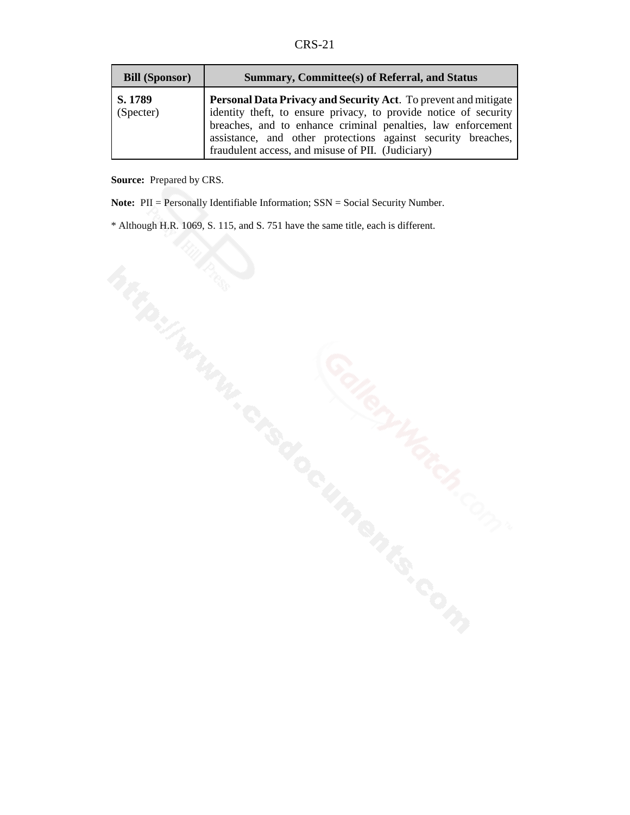CRS-21

| <b>Bill (Sponsor)</b> | <b>Summary, Committee(s) of Referral, and Status</b>                                                                                                                                                                                                                                                                            |
|-----------------------|---------------------------------------------------------------------------------------------------------------------------------------------------------------------------------------------------------------------------------------------------------------------------------------------------------------------------------|
| S. 1789<br>(Specter)  | <b>Personal Data Privacy and Security Act.</b> To prevent and mitigate<br>identity theft, to ensure privacy, to provide notice of security<br>breaches, and to enhance criminal penalties, law enforcement<br>assistance, and other protections against security breaches,<br>fraudulent access, and misuse of PII. (Judiciary) |

**Source:** Prepared by CRS.

**Note:** PII = Personally Identifiable Information; SSN = Social Security Number.

\* Although H.R. 1069, S. 115, and S. 751 have the same title, each is different.